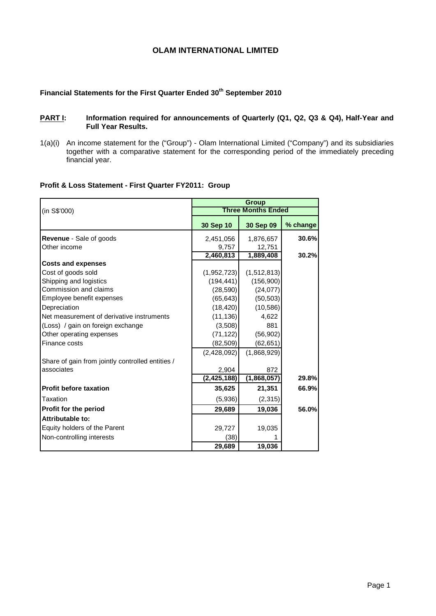# **OLAM INTERNATIONAL LIMITED**

# Financial Statements for the First Quarter Ended 30<sup>th</sup> September 2010

### **PART I:** Information required for announcements of Quarterly (Q1, Q2, Q3 & Q4), Half-Year and **Full Year Results.**

1(a)(i) An income statement for the ("Group") - Olam International Limited ("Company") and its subsidiaries together with a comparative statement for the corresponding period of the immediately preceding financial year.

## **Profit & Loss Statement - First Quarter FY2011: Group**

|                                                  |               | <b>Group</b>              |          |
|--------------------------------------------------|---------------|---------------------------|----------|
| (in S\$'000)                                     |               | <b>Three Months Ended</b> |          |
|                                                  | 30 Sep 10     | 30 Sep 09                 | % change |
| <b>Revenue - Sale of goods</b>                   | 2,451,056     | 1,876,657                 | 30.6%    |
| Other income                                     | 9,757         | 12,751                    |          |
|                                                  | 2,460,813     | 1,889,408                 | 30.2%    |
| <b>Costs and expenses</b>                        |               |                           |          |
| Cost of goods sold                               | (1,952,723)   | (1,512,813)               |          |
| Shipping and logistics                           | (194, 441)    | (156,900)                 |          |
| Commission and claims                            | (28, 590)     | (24, 077)                 |          |
| Employee benefit expenses                        | (65, 643)     | (50, 503)                 |          |
| Depreciation                                     | (18, 420)     | (10, 586)                 |          |
| Net measurement of derivative instruments        | (11, 136)     | 4,622                     |          |
| (Loss) / gain on foreign exchange                | (3,508)       | 881                       |          |
| Other operating expenses                         | (71, 122)     | (56, 902)                 |          |
| Finance costs                                    | (82, 509)     | (62, 651)                 |          |
|                                                  | (2,428,092)   | (1,868,929)               |          |
| Share of gain from jointly controlled entities / |               |                           |          |
| associates                                       | 2,904         | 872                       |          |
|                                                  | (2, 425, 188) | (1,868,057)               | 29.8%    |
| <b>Profit before taxation</b>                    | 35,625        | 21,351                    | 66.9%    |
| Taxation                                         | (5,936)       | (2,315)                   |          |
| <b>Profit for the period</b>                     | 29,689        | 19,036                    | 56.0%    |
| Attributable to:                                 |               |                           |          |
| Equity holders of the Parent                     | 29,727        | 19,035                    |          |
| Non-controlling interests                        | (38)          |                           |          |
|                                                  | 29,689        | 19,036                    |          |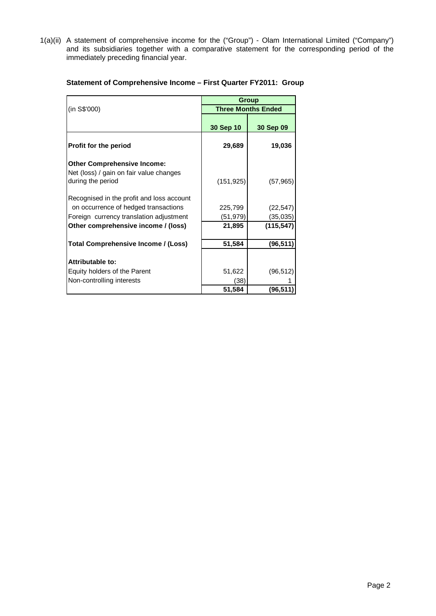1(a)(ii) A statement of comprehensive income for the ("Group") - Olam International Limited ("Company") and its subsidiaries together with a comparative statement for the corresponding period of the immediately preceding financial year.

|                                                                                                                              | <b>Group</b>              |                       |  |  |
|------------------------------------------------------------------------------------------------------------------------------|---------------------------|-----------------------|--|--|
| (in S\$'000)                                                                                                                 | <b>Three Months Ended</b> |                       |  |  |
|                                                                                                                              | 30 Sep 10                 | 30 Sep 09             |  |  |
| Profit for the period                                                                                                        | 29,689                    | 19,036                |  |  |
| <b>Other Comprehensive Income:</b><br>Net (loss) / gain on fair value changes<br>during the period                           | (151, 925)                | (57, 965)             |  |  |
| Recognised in the profit and loss account<br>on occurrence of hedged transactions<br>Foreign currency translation adjustment | 225,799<br>(51, 979)      | (22, 547)<br>(35,035) |  |  |
| Other comprehensive income / (loss)                                                                                          | 21,895                    | (115, 547)            |  |  |
| Total Comprehensive Income / (Loss)                                                                                          | 51,584                    | (96, 511)             |  |  |
| Attributable to:                                                                                                             |                           |                       |  |  |
| Equity holders of the Parent                                                                                                 | 51,622                    | (96, 512)             |  |  |
| Non-controlling interests                                                                                                    | (38)                      |                       |  |  |
|                                                                                                                              | 51,584                    | (96, 511)             |  |  |

# **Statement of Comprehensive Income – First Quarter FY2011: Group**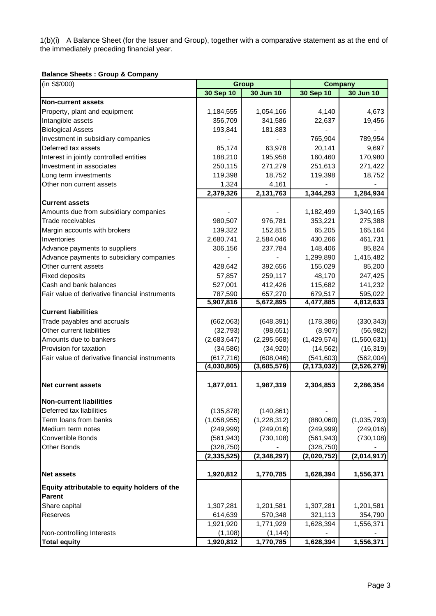1(b)(i) A Balance Sheet (for the Issuer and Group), together with a comparative statement as at the end of the immediately preceding financial year.

## **Balance Sheets : Group & Company**

| (in S\$'000)                                                  | <b>Group</b>              |                           | <b>Company</b>              |                          |  |  |
|---------------------------------------------------------------|---------------------------|---------------------------|-----------------------------|--------------------------|--|--|
|                                                               | 30 Sep 10                 | 30 Jun 10                 | 30 Sep 10                   | 30 Jun 10                |  |  |
| <b>Non-current assets</b>                                     |                           |                           |                             |                          |  |  |
| Property, plant and equipment                                 | 1,184,555                 | 1,054,166                 | 4,140                       | 4,673                    |  |  |
| Intangible assets                                             | 356,709                   | 341,586                   | 22,637                      | 19,456                   |  |  |
| <b>Biological Assets</b>                                      | 193,841                   | 181,883                   |                             |                          |  |  |
| Investment in subsidiary companies                            |                           |                           | 765,904                     | 789,954                  |  |  |
| Deferred tax assets                                           | 85,174                    | 63,978                    | 20,141                      | 9,697                    |  |  |
| Interest in jointly controlled entities                       | 188,210                   | 195,958                   | 160,460                     | 170,980                  |  |  |
| Investment in associates                                      | 250,115                   | 271,279                   | 251,613                     | 271,422                  |  |  |
| Long term investments                                         | 119,398                   | 18,752                    | 119,398                     | 18,752                   |  |  |
| Other non current assets                                      | 1,324                     | 4,161                     |                             |                          |  |  |
|                                                               | 2,379,326                 | 2,131,763                 | 1,344,293                   | 1,284,934                |  |  |
| <b>Current assets</b>                                         |                           |                           |                             |                          |  |  |
| Amounts due from subsidiary companies                         |                           |                           | 1,182,499                   | 1,340,165                |  |  |
| Trade receivables                                             | 980,507                   | 976,781                   | 353,221                     | 275,388                  |  |  |
| Margin accounts with brokers                                  | 139,322                   | 152,815                   | 65,205                      | 165,164                  |  |  |
| Inventories                                                   | 2,680,741                 | 2,584,046                 | 430,266                     | 461,731                  |  |  |
| Advance payments to suppliers                                 | 306,156                   | 237,784                   | 148,406                     | 85,824                   |  |  |
| Advance payments to subsidiary companies                      |                           |                           | 1,299,890                   | 1,415,482                |  |  |
| Other current assets                                          | 428,642                   | 392,656                   | 155,029                     | 85,200                   |  |  |
| <b>Fixed deposits</b>                                         | 57,857                    | 259,117                   | 48,170                      | 247,425                  |  |  |
| Cash and bank balances                                        | 527,001                   | 412,426                   | 115,682                     | 141,232                  |  |  |
| Fair value of derivative financial instruments                | 787,590                   | 657,270                   | 679,517                     | 595,022                  |  |  |
|                                                               | 5,907,816                 | 5,672,895                 | 4,477,885                   | 4,812,633                |  |  |
| <b>Current liabilities</b>                                    |                           |                           |                             |                          |  |  |
| Trade payables and accruals                                   | (662,063)                 | (648, 391)                | (178, 386)                  | (330, 343)               |  |  |
| Other current liabilities                                     | (32, 793)                 | (98, 651)                 | (8,907)                     | (56, 982)                |  |  |
| Amounts due to bankers                                        | (2,683,647)               | (2, 295, 568)             | (1,429,574)                 | (1,560,631)              |  |  |
| Provision for taxation                                        | (34, 586)                 | (34, 920)                 | (14, 562)                   | (16, 319)                |  |  |
| Fair value of derivative financial instruments                | (617, 716)<br>(4,030,805) | (608, 046)<br>(3,685,576) | (541, 603)<br>(2, 173, 032) | (562,004)<br>(2,526,279) |  |  |
|                                                               |                           |                           |                             |                          |  |  |
| <b>Net current assets</b>                                     | 1,877,011                 | 1,987,319                 | 2,304,853                   | 2,286,354                |  |  |
|                                                               |                           |                           |                             |                          |  |  |
| <b>Non-current liabilities</b>                                |                           |                           |                             |                          |  |  |
| Deferred tax liabilities                                      | (135, 878)                | (140, 861)                |                             |                          |  |  |
| Term loans from banks                                         | (1,058,955)               | (1,228,312)               | (880,060)                   | (1,035,793)              |  |  |
| Medium term notes                                             | (249, 999)                | (249, 016)                | (249, 999)                  | (249, 016)               |  |  |
| Convertible Bonds                                             | (561, 943)                | (730, 108)                | (561, 943)                  | (730, 108)               |  |  |
| Other Bonds                                                   | (328, 750)                |                           | (328, 750)                  |                          |  |  |
|                                                               | (2,335,525)               | (2,348,297)               | (2,020,752)                 | (2,014,917)              |  |  |
|                                                               |                           |                           |                             |                          |  |  |
| <b>Net assets</b>                                             | 1,920,812                 | 1,770,785                 | 1,628,394                   | 1,556,371                |  |  |
| Equity attributable to equity holders of the<br><b>Parent</b> |                           |                           |                             |                          |  |  |
| Share capital                                                 | 1,307,281                 | 1,201,581                 | 1,307,281                   | 1,201,581                |  |  |
| Reserves                                                      | 614,639                   | 570,348                   | 321,113                     | 354,790                  |  |  |
|                                                               | 1,921,920                 | 1,771,929                 | 1,628,394                   | 1,556,371                |  |  |
| Non-controlling Interests                                     | (1, 108)                  | (1, 144)                  |                             |                          |  |  |
| <b>Total equity</b>                                           | 1,920,812                 | 1,770,785                 | 1,628,394                   | 1,556,371                |  |  |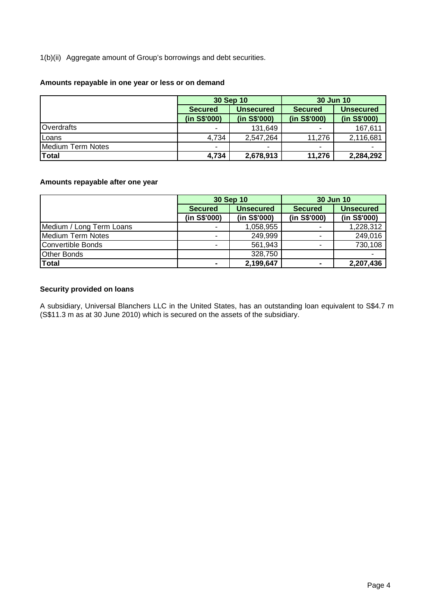1 (b)(ii) Aggregate amount of Group's borrowings and debt securities.

## **Amounts repayable in one year or less or on demand**

|                   |                | 30 Sep 10        | 30 Jun 10      |                  |  |
|-------------------|----------------|------------------|----------------|------------------|--|
|                   | <b>Secured</b> | <b>Unsecured</b> | <b>Secured</b> | <b>Unsecured</b> |  |
|                   | (in S\$'000)   | (in S\$'000)     | (in S\$'000)   | (in S\$'000)     |  |
| <b>Overdrafts</b> |                | 131,649          | ۰              | 167,611          |  |
| Loans             | 4,734          | 2,547,264        | 11,276         | 2,116,681        |  |
| Medium Term Notes |                | ۰                | ۰              |                  |  |
| <b>Total</b>      | 4,734          | 2,678,913        | 11,276         | 2,284,292        |  |

# **Amounts repayable after one year**

|                          |                | 30 Sep 10        | <b>30 Jun 10</b> |                  |  |
|--------------------------|----------------|------------------|------------------|------------------|--|
|                          | <b>Secured</b> | <b>Unsecured</b> | <b>Secured</b>   | <b>Unsecured</b> |  |
|                          | (in S\$'000)   | (in S\$'000)     | (in S\$'000)     | (in S\$'000)     |  |
| Medium / Long Term Loans |                | 1,058,955        | ۰                | 1,228,312        |  |
| Medium Term Notes        |                | 249,999          | ۰                | 249,016          |  |
| Convertible Bonds        |                | 561,943          | ۰                | 730,108          |  |
| <b>Other Bonds</b>       |                | 328,750          |                  |                  |  |
| <b>Total</b>             | $\blacksquare$ | 2,199,647        | $\blacksquare$   | 2,207,436        |  |

## Security provided on loans

A subsidiary, Universal Blanchers LLC in the United States, has an outstanding loan equivalent to S\$4.7 m (S\$11.3 m as at 30 June 2010) which is secured on the assets of the subsidiary.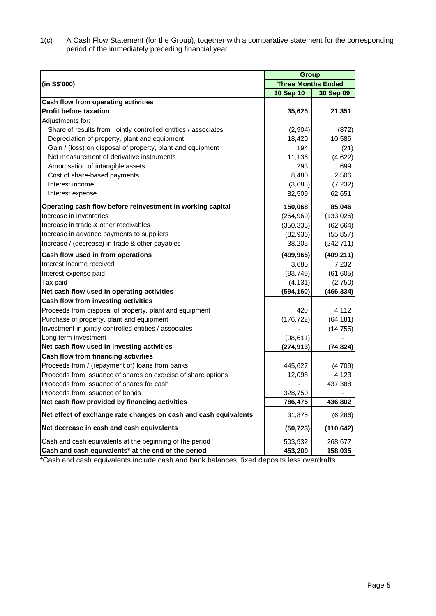1(c) A Cash Flow Statement (for the Group), together with a comparative statement for the corresponding period of the immediately preceding financial year.

|                                                                  | <b>Group</b>              |            |  |  |
|------------------------------------------------------------------|---------------------------|------------|--|--|
| (in S\$'000)                                                     | <b>Three Months Ended</b> |            |  |  |
|                                                                  | 30 Sep 10                 | 30 Sep 09  |  |  |
| Cash flow from operating activities                              |                           |            |  |  |
| <b>Profit before taxation</b>                                    | 35,625                    | 21,351     |  |  |
| Adjustments for:                                                 |                           |            |  |  |
| Share of results from jointly controlled entities / associates   | (2,904)                   | (872)      |  |  |
| Depreciation of property, plant and equipment                    | 18,420                    | 10,586     |  |  |
| Gain / (loss) on disposal of property, plant and equipment       | 194                       | (21)       |  |  |
| Net measurement of derivative instruments                        | 11,136                    | (4,622)    |  |  |
| Amortisation of intangible assets                                | 293                       | 699        |  |  |
| Cost of share-based payments                                     | 8,480                     | 2,506      |  |  |
| Interest income                                                  | (3,685)                   | (7,232)    |  |  |
| Interest expense                                                 | 82,509                    | 62,651     |  |  |
| Operating cash flow before reinvestment in working capital       | 150,068                   | 85,046     |  |  |
| Increase in inventories                                          | (254, 969)                | (133, 025) |  |  |
| Increase in trade & other receivables                            | (350, 333)                | (62, 664)  |  |  |
| Increase in advance payments to suppliers                        | (82,936)                  | (55, 857)  |  |  |
| Increase / (decrease) in trade & other payables                  | 38,205                    | (242, 711) |  |  |
| Cash flow used in from operations                                | (499, 965)                | (409, 211) |  |  |
| Interest income received                                         | 3,685                     | 7,232      |  |  |
| Interest expense paid                                            | (93, 749)                 | (61,605)   |  |  |
| Tax paid                                                         | (4, 131)                  | (2,750)    |  |  |
| Net cash flow used in operating activities                       | (594, 160)                | (466, 334) |  |  |
| Cash flow from investing activities                              |                           |            |  |  |
| Proceeds from disposal of property, plant and equipment          | 420                       | 4,112      |  |  |
| Purchase of property, plant and equipment                        | (176, 722)                | (64, 181)  |  |  |
| Investment in jointly controlled entities / associates           |                           | (14, 755)  |  |  |
| Long term investment                                             | (98, 611)                 |            |  |  |
| Net cash flow used in investing activities                       | (274, 913)                | (74, 824)  |  |  |
| Cash flow from financing activities                              |                           |            |  |  |
| Proceeds from / (repayment of) loans from banks                  | 445,627                   | (4,709)    |  |  |
| Proceeds from issuance of shares on exercise of share options    | 12,098                    | 4,123      |  |  |
| Proceeds from issuance of shares for cash                        |                           | 437,388    |  |  |
| Proceeds from issuance of bonds                                  | 328,750                   |            |  |  |
| Net cash flow provided by financing activities                   | 786,475                   | 436,802    |  |  |
| Net effect of exchange rate changes on cash and cash equivalents | 31,875                    | (6, 286)   |  |  |
| Net decrease in cash and cash equivalents                        | (50, 723)                 | (110, 642) |  |  |
| Cash and cash equivalents at the beginning of the period         | 503,932                   | 268,677    |  |  |
| Cash and cash equivalents* at the end of the period              | 453,209                   | 158,035    |  |  |

\*Cash and cash equivalents include cash and bank balances, fixed deposits less overdrafts.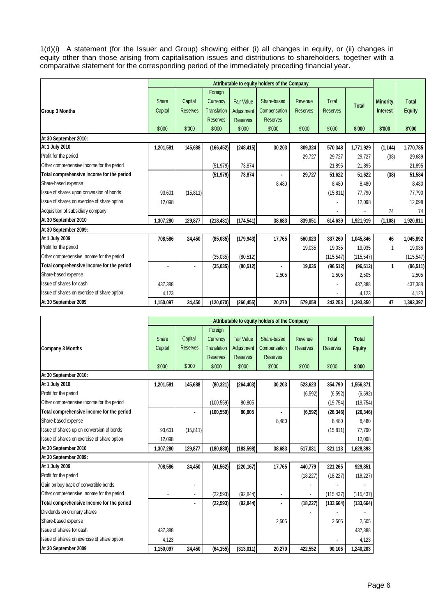1(d)(i) A statement (for the Issuer and Group) showing either (i) all changes in equity, or (ii) changes in equity other than those arising from capitalisation issues and distributions to shareholders, together with a comparative statement for the corresponding period of the immediately preceding financial year.

|                                             | Attributable to equity holders of the Company |                 |                    |                   |                 |                 |                 |              |                 |               |
|---------------------------------------------|-----------------------------------------------|-----------------|--------------------|-------------------|-----------------|-----------------|-----------------|--------------|-----------------|---------------|
|                                             |                                               |                 | Foreign            |                   |                 |                 |                 |              |                 |               |
|                                             | Share                                         | Capital         | Currency           | <b>Fair Value</b> | Share-based     | Revenue         | Total           | <b>Total</b> | <b>Minority</b> | <b>Total</b>  |
| <b>Group 3 Months</b>                       | Capital                                       | <b>Reserves</b> | <b>Translation</b> | Adjustment        | Compensation    | <b>Reserves</b> | <b>Reserves</b> |              | <b>Interest</b> | <b>Equity</b> |
|                                             |                                               |                 | <b>Reserves</b>    | <b>Reserves</b>   | <b>Reserves</b> |                 |                 |              |                 |               |
|                                             | \$'000                                        | \$'000          | \$'000             | \$'000            | \$'000          | \$'000          | \$'000          | \$'000       | \$'000          | \$'000        |
| At 30 September 2010:                       |                                               |                 |                    |                   |                 |                 |                 |              |                 |               |
| At 1 July 2010                              | 1,201,581                                     | 145,688         | (166, 452)         | (248, 415)        | 30,203          | 809,324         | 570,348         | 1,771,929    | (1, 144)        | 1,770,785     |
| Profit for the period                       |                                               |                 |                    |                   |                 | 29,727          | 29,727          | 29,727       | (38)            | 29,689        |
| Other comprehensive income for the period   |                                               |                 | (51, 979)          | 73,874            |                 |                 | 21,895          | 21,895       |                 | 21,895        |
| Total comprehensive income for the period   |                                               |                 | (51, 979)          | 73,874            |                 | 29.727          | 51.622          | 51,622       | (38)            | 51,584        |
| Share-based expense                         |                                               |                 |                    |                   | 8.480           |                 | 8.480           | 8,480        |                 | 8,480         |
| Issue of shares upon conversion of bonds    | 93,601                                        | (15, 811)       |                    |                   |                 |                 | (15, 811)       | 77,790       |                 | 77,790        |
| Issue of shares on exercise of share option | 12,098                                        |                 |                    |                   |                 |                 |                 | 12,098       |                 | 12,098        |
| Acquisition of subsidiary company           |                                               |                 |                    |                   |                 |                 |                 |              | 74              | 74            |
| At 30 September 2010                        | 1,307,280                                     | 129,877         | (218, 431)         | (174, 541)        | 38,683          | 839,051         | 614,639         | 1,921,919    | (1, 108)        | 1,920,811     |
| At 30 September 2009:                       |                                               |                 |                    |                   |                 |                 |                 |              |                 |               |
| At 1 July 2009                              | 708,586                                       | 24,450          | (85,035)           | (179, 943)        | 17,765          | 560,023         | 337,260         | 1,045,846    | 46              | 1,045,892     |
| Profit for the period                       |                                               |                 |                    |                   |                 | 19,035          | 19,035          | 19,035       |                 | 19,036        |
| Other comprehensive Income for the period   |                                               |                 | (35,035)           | (80, 512)         |                 |                 | (115.547)       | (115, 547)   |                 | (115, 547)    |
| Total comprehensive Income for the period   |                                               |                 | (35,035)           | (80, 512)         |                 | 19,035          | (96, 512)       | (96, 512)    | 1               | (96, 511)     |
| Share-based expense                         |                                               |                 |                    |                   | 2,505           |                 | 2.505           | 2,505        |                 | 2.505         |
| Issue of shares for cash                    | 437.388                                       |                 |                    |                   |                 |                 |                 | 437,388      |                 | 437,388       |
| Issue of shares on exercise of share option | 4,123                                         |                 |                    |                   |                 |                 |                 | 4,123        |                 | 4,123         |
| At 30 September 2009                        | 1.150.097                                     | 24,450          | (120,070)          | (260, 455)        | 20,270          | 579,058         | 243,253         | 1,393,350    | 47              | 1,393,397     |

|                                             |           |                 |                    |                   | Attributable to equity holders of the Company |                 |                 |               |
|---------------------------------------------|-----------|-----------------|--------------------|-------------------|-----------------------------------------------|-----------------|-----------------|---------------|
|                                             |           |                 | Foreign            |                   |                                               |                 |                 |               |
|                                             | Share     | Capital         | Currency           | <b>Fair Value</b> | Share-based                                   | Revenue         | Total           | <b>Total</b>  |
| Company 3 Months                            | Capital   | <b>Reserves</b> | <b>Translation</b> | Adjustment        | Compensation                                  | <b>Reserves</b> | <b>Reserves</b> | <b>Equity</b> |
|                                             |           |                 | <b>Reserves</b>    | <b>Reserves</b>   | <b>Reserves</b>                               |                 |                 |               |
|                                             | \$'000    | \$'000          | \$'000             | \$'000            | \$'000                                        | \$'000          | \$'000          | \$'000        |
| At 30 September 2010:                       |           |                 |                    |                   |                                               |                 |                 |               |
| At 1 July 2010                              | 1,201,581 | 145,688         | (80, 321)          | (264, 403)        | 30,203                                        | 523,623         | 354,790         | 1,556,371     |
| Profit for the period                       |           |                 |                    |                   |                                               | (6, 592)        | (6, 592)        | (6, 592)      |
| Other comprehensive income for the period   |           |                 | (100, 559)         | 80,805            |                                               |                 | (19, 754)       | (19, 754)     |
| Total comprehensive income for the period   |           |                 | (100, 559)         | 80,805            | $\blacksquare$                                | (6, 592)        | (26, 346)       | (26, 346)     |
| Share-based expense                         |           |                 |                    |                   | 8,480                                         |                 | 8,480           | 8,480         |
| Issue of shares up on conversion of bonds   | 93.601    | (15, 811)       |                    |                   |                                               |                 | (15, 811)       | 77,790        |
| Issue of shares on exercise of share option | 12,098    |                 |                    |                   |                                               |                 |                 | 12,098        |
| At 30 September 2010                        | 1,307,280 | 129,877         | (180, 880)         | (183, 598)        | 38,683                                        | 517,031         | 321,113         | 1,628,393     |
| At 30 September 2009:                       |           |                 |                    |                   |                                               |                 |                 |               |
| At 1 July 2009                              | 708,586   | 24,450          | (41, 562)          | (220, 167)        | 17,765                                        | 440,779         | 221,265         | 929,851       |
| Profit for the period                       |           |                 |                    |                   |                                               | (18, 227)       | (18, 227)       | (18, 227)     |
| Gain on buy-back of convertible bonds       |           |                 |                    |                   |                                               |                 |                 |               |
| Other comprehensive Income for the period   |           |                 | (22, 593)          | (92, 844)         |                                               |                 | (115, 437)      | (115, 437)    |
| Total comprehensive Income for the period   |           |                 | (22, 593)          | (92, 844)         | $\blacksquare$                                | (18, 227)       | (133, 664)      | (133, 664)    |
| Dividends on ordinary shares                |           |                 |                    |                   |                                               |                 |                 |               |
| Share-based expense                         |           |                 |                    |                   | 2,505                                         |                 | 2,505           | 2,505         |
| Issue of shares for cash                    | 437,388   |                 |                    |                   |                                               |                 |                 | 437,388       |
| Issue of shares on exercise of share option | 4,123     |                 |                    |                   |                                               |                 |                 | 4,123         |
| At 30 September 2009                        | 1,150,097 | 24,450          | (64, 155)          | (313,011)         | 20,270                                        | 422,552         | 90,106          | 1,240,203     |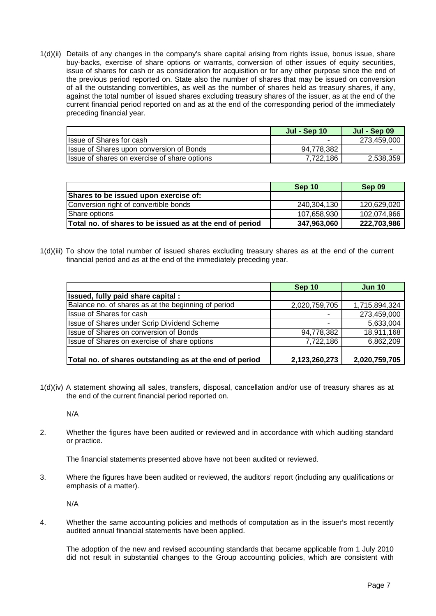1(d)(ii) Details of any changes in the company's share capital arising from rights issue, bonus issue, share buy-backs, exercise of share options or warrants, conversion of other issues of equity securities, issue of shares for cash or as consideration for acquisition or for any other purpose since the end of the previous period reported on. State also the number of shares that may be issued on conversion of all the outstanding convertibles, as well as the number of shares held as treasury shares, if any, against the total number of issued shares excluding treasury shares of the issuer, as at the end of the current financial period reported on and as at the end of the corresponding period of the immediately preceding financial year.

|                                              | Jul - Sep 10 | Jul - Sep 09 |
|----------------------------------------------|--------------|--------------|
| Ilssue of Shares for cash                    |              | 273,459,000  |
| Issue of Shares upon conversion of Bonds     | 94,778,382   |              |
| Issue of shares on exercise of share options | 7,722,186    | 2,538,359    |

|                                                          | Sep 10      | Sep 09      |
|----------------------------------------------------------|-------------|-------------|
| Shares to be issued upon exercise of:                    |             |             |
| Conversion right of convertible bonds                    | 240,304,130 | 120,629,020 |
| Share options                                            | 107,658,930 | 102,074,966 |
| Total no. of shares to be issued as at the end of period | 347,963,060 | 222,703,986 |

1(d)(iii) To show the total number of issued shares excluding treasury shares as at the end of the current financial period and as at the end of the immediately preceding year.

|                                                         | Sep 10        | <b>Jun 10</b> |
|---------------------------------------------------------|---------------|---------------|
| Issued, fully paid share capital :                      |               |               |
| Balance no. of shares as at the beginning of period     | 2,020,759,705 | 1,715,894,324 |
| Issue of Shares for cash                                |               | 273,459,000   |
| Issue of Shares under Scrip Dividend Scheme             |               | 5,633,004     |
| Issue of Shares on conversion of Bonds                  | 94,778,382    | 18,911,168    |
| Issue of Shares on exercise of share options            | 7,722,186     | 6,862,209     |
| Total no. of shares outstanding as at the end of period | 2,123,260,273 | 2,020,759,705 |

1(d)(iv) A statement showing all sales, transfers, disposal, cancellation and/or use of treasury shares as at the end of the current financial period reported on.

N/A

2. Whether the figures have been audited or reviewed and in accordance with which auditing standard or practice.

The financial statements presented above have not been audited or reviewed.

3. Where the figures have been audited or reviewed, the auditors' report (including any qualifications or emphasis of a matter).

N/A

4. Whether the same accounting policies and methods of computation as in the issuer's most recently audited annual financial statements have been applied.

 The adoption of the new and revised accounting standards that became applicable from 1 July 2010 did not result in substantial changes to the Group accounting policies, which are consistent with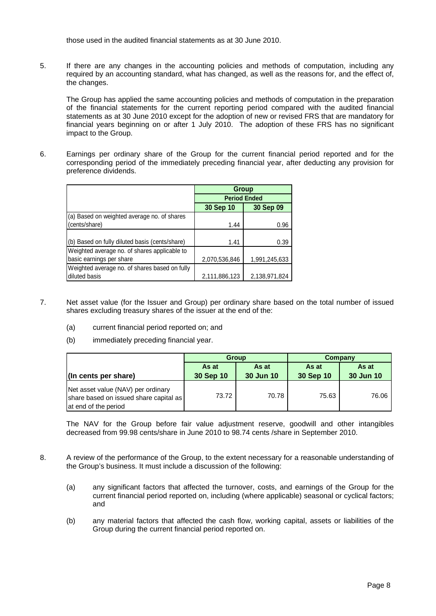those used in the audited financial statements as at 30 June 2010.

5. If there are any changes in the accounting policies and methods of computation, including any required by an accounting standard, what has changed, as well as the reasons for, and the effect of, the changes.

 The Group has applied the same accounting policies and methods of computation in the preparation of the financial statements for the current reporting period compared with the audited financial statements as at 30 June 2010 except for the adoption of new or revised FRS that are mandatory for financial years beginning on or after 1 July 2010. The adoption of these FRS has no significant impact to the Group.

6. Earnings per ordinary share of the Group for the current financial period reported and for the corresponding period of the immediately preceding financial year, after deducting any provision for preference dividends.

|                                                | Group                  |               |  |  |
|------------------------------------------------|------------------------|---------------|--|--|
|                                                | <b>Period Ended</b>    |               |  |  |
|                                                | 30 Sep 09<br>30 Sep 10 |               |  |  |
| (a) Based on weighted average no. of shares    |                        |               |  |  |
| (cents/share)                                  | 1.44                   | 0.96          |  |  |
|                                                |                        |               |  |  |
| (b) Based on fully diluted basis (cents/share) | 1.41                   | 0.39          |  |  |
| Weighted average no. of shares applicable to   |                        |               |  |  |
| basic earnings per share                       | 2,070,536,846          | 1,991,245,633 |  |  |
| Weighted average no. of shares based on fully  |                        |               |  |  |
| diluted basis                                  | 2,111,886,123          | 2,138,971,824 |  |  |

- 7. Net asset value (for the Issuer and Group) per ordinary share based on the total number of issued shares excluding treasury shares of the issuer at the end of the:
	- (a) current financial period reported on; and
	- (b) immediately preceding financial year.

|                                                                                                      |           | <b>Group</b> | Company   |           |  |
|------------------------------------------------------------------------------------------------------|-----------|--------------|-----------|-----------|--|
|                                                                                                      | As at     | As at        | As at     | As at     |  |
| (In cents per share)                                                                                 | 30 Sep 10 | 30 Jun 10    | 30 Sep 10 | 30 Jun 10 |  |
| Net asset value (NAV) per ordinary<br>share based on issued share capital as<br>at end of the period | 73.72     | 70.78        | 75.63     | 76.06     |  |

The NAV for the Group before fair value adjustment reserve, goodwill and other intangibles decreased from 99.98 cents/share in June 2010 to 98.74 cents /share in September 2010.

- 8. A review of the performance of the Group, to the extent necessary for a reasonable understanding of the Group's business. It must include a discussion of the following:
	- (a) any significant factors that affected the turnover, costs, and earnings of the Group for the current financial period reported on, including (where applicable) seasonal or cyclical factors; and
	- (b) any material factors that affected the cash flow, working capital, assets or liabilities of the Group during the current financial period reported on.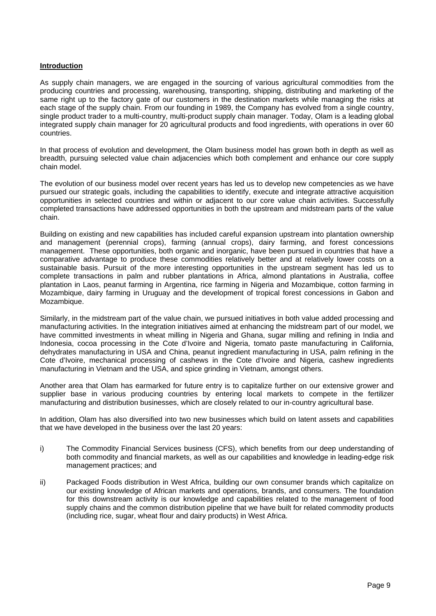## **Introduction**

As supply chain managers, we are engaged in the sourcing of various agricultural commodities from the producing countries and processing, warehousing, transporting, shipping, distributing and marketing of the same right up to the factory gate of our customers in the destination markets while managing the risks at each stage of the supply chain. From our founding in 1989, the Company has evolved from a single country, single product trader to a multi-country, multi-product supply chain manager. Today, Olam is a leading global integrated supply chain manager for 20 agricultural products and food ingredients, with operations in over 60 countries.

In that process of evolution and development, the Olam business model has grown both in depth as well as breadth, pursuing selected value chain adjacencies which both complement and enhance our core supply chain model.

The evolution of our business model over recent years has led us to develop new competencies as we have pursued our strategic goals, including the capabilities to identify, execute and integrate attractive acquisition opportunities in selected countries and within or adjacent to our core value chain activities. Successfully completed transactions have addressed opportunities in both the upstream and midstream parts of the value chain.

Building on existing and new capabilities has included careful expansion upstream into plantation ownership and management (perennial crops), farming (annual crops), dairy farming, and forest concessions management. These opportunities, both organic and inorganic, have been pursued in countries that have a comparative advantage to produce these commodities relatively better and at relatively lower costs on a sustainable basis. Pursuit of the more interesting opportunities in the upstream segment has led us to complete transactions in palm and rubber plantations in Africa, almond plantations in Australia, coffee plantation in Laos, peanut farming in Argentina, rice farming in Nigeria and Mozambique, cotton farming in Mozambique, dairy farming in Uruguay and the development of tropical forest concessions in Gabon and Mozambique.

Similarly, in the midstream part of the value chain, we pursued initiatives in both value added processing and manufacturing activities. In the integration initiatives aimed at enhancing the midstream part of our model, we have committed investments in wheat milling in Nigeria and Ghana, sugar milling and refining in India and Indonesia, cocoa processing in the Cote d'Ivoire and Nigeria, tomato paste manufacturing in California, dehydrates manufacturing in USA and China, peanut ingredient manufacturing in USA, palm refining in the Cote d'Ivoire, mechanical processing of cashews in the Cote d'Ivoire and Nigeria, cashew ingredients manufacturing in Vietnam and the USA, and spice grinding in Vietnam, amongst others.

Another area that Olam has earmarked for future entry is to capitalize further on our extensive grower and supplier base in various producing countries by entering local markets to compete in the fertilizer manufacturing and distribution businesses, which are closely related to our in-country agricultural base.

In addition, Olam has also diversified into two new businesses which build on latent assets and capabilities that we have developed in the business over the last 20 years:

- i) The Commodity Financial Services business (CFS), which benefits from our deep understanding of both commodity and financial markets, as well as our capabilities and knowledge in leading-edge risk management practices; and
- ii) Packaged Foods distribution in West Africa, building our own consumer brands which capitalize on our existing knowledge of African markets and operations, brands, and consumers. The foundation for this downstream activity is our knowledge and capabilities related to the management of food supply chains and the common distribution pipeline that we have built for related commodity products (including rice, sugar, wheat flour and dairy products) in West Africa.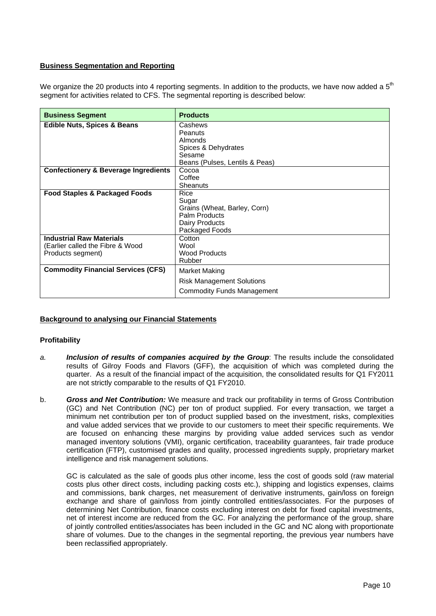## **Business Segmentation and Reporting**

We organize the 20 products into 4 reporting segments. In addition to the products, we have now added a  $5<sup>th</sup>$ segment for activities related to CFS. The segmental reporting is described below:

| <b>Business Segment</b>                         | <b>Products</b>                   |  |  |  |  |
|-------------------------------------------------|-----------------------------------|--|--|--|--|
| <b>Edible Nuts, Spices &amp; Beans</b>          | Cashews                           |  |  |  |  |
|                                                 | Peanuts                           |  |  |  |  |
|                                                 | Almonds                           |  |  |  |  |
|                                                 | Spices & Dehydrates               |  |  |  |  |
|                                                 | Sesame                            |  |  |  |  |
|                                                 | Beans (Pulses, Lentils & Peas)    |  |  |  |  |
| <b>Confectionery &amp; Beverage Ingredients</b> | Cocoa                             |  |  |  |  |
|                                                 | Coffee                            |  |  |  |  |
|                                                 | Sheanuts                          |  |  |  |  |
| <b>Food Staples &amp; Packaged Foods</b>        | Rice                              |  |  |  |  |
|                                                 | Sugar                             |  |  |  |  |
|                                                 | Grains (Wheat, Barley, Corn)      |  |  |  |  |
|                                                 | Palm Products                     |  |  |  |  |
|                                                 | Dairy Products                    |  |  |  |  |
|                                                 | Packaged Foods                    |  |  |  |  |
| <b>Industrial Raw Materials</b>                 | Cotton                            |  |  |  |  |
| (Earlier called the Fibre & Wood                | Wool                              |  |  |  |  |
| Products segment)                               | <b>Wood Products</b>              |  |  |  |  |
|                                                 | Rubber                            |  |  |  |  |
| <b>Commodity Financial Services (CFS)</b>       | Market Making                     |  |  |  |  |
|                                                 | <b>Risk Management Solutions</b>  |  |  |  |  |
|                                                 | <b>Commodity Funds Management</b> |  |  |  |  |

# **Background to analysing our Financial Statements**

## **Profitability**

- *a. Inclusion of results of companies acquired by the Group*: The results include the consolidated results of Gilroy Foods and Flavors (GFF), the acquisition of which was completed during the quarter. As a result of the financial impact of the acquisition, the consolidated results for Q1 FY2011 are not strictly comparable to the results of Q1 FY2010.
- b. *Gross and Net Contribution:* We measure and track our profitability in terms of Gross Contribution (GC) and Net Contribution (NC) per ton of product supplied. For every transaction, we target a minimum net contribution per ton of product supplied based on the investment, risks, complexities and value added services that we provide to our customers to meet their specific requirements. We are focused on enhancing these margins by providing value added services such as vendor managed inventory solutions (VMI), organic certification, traceability guarantees, fair trade produce certification (FTP), customised grades and quality, processed ingredients supply, proprietary market intelligence and risk management solutions.

GC is calculated as the sale of goods plus other income, less the cost of goods sold (raw material costs plus other direct costs, including packing costs etc.), shipping and logistics expenses, claims and commissions, bank charges, net measurement of derivative instruments, gain/loss on foreign exchange and share of gain/loss from jointly controlled entities/associates. For the purposes of determining Net Contribution, finance costs excluding interest on debt for fixed capital investments, net of interest income are reduced from the GC. For analyzing the performance of the group, share of jointly controlled entities/associates has been included in the GC and NC along with proportionate share of volumes. Due to the changes in the segmental reporting, the previous year numbers have been reclassified appropriately.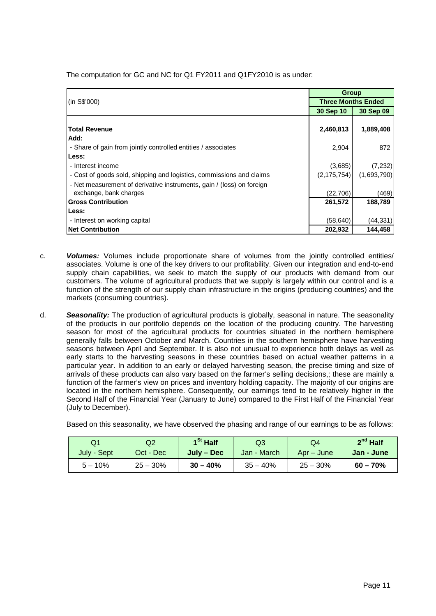|                                                                       | Group                     |             |  |
|-----------------------------------------------------------------------|---------------------------|-------------|--|
| (in S\$'000)                                                          | <b>Three Months Ended</b> |             |  |
|                                                                       | 30 Sep 10                 | 30 Sep 09   |  |
|                                                                       |                           |             |  |
| <b>Total Revenue</b>                                                  | 2,460,813                 | 1,889,408   |  |
| Add:                                                                  |                           |             |  |
| - Share of gain from jointly controlled entities / associates         | 2,904                     | 872         |  |
| Less:                                                                 |                           |             |  |
| - Interest income                                                     | (3,685)                   | (7, 232)    |  |
| - Cost of goods sold, shipping and logistics, commissions and claims  | (2, 175, 754)             | (1,693,790) |  |
| - Net measurement of derivative instruments, gain / (loss) on foreign |                           |             |  |
| exchange, bank charges                                                | (22, 706)                 | (469)       |  |
| <b>Gross Contribution</b>                                             | 261,572                   | 188.789     |  |
| Less:                                                                 |                           |             |  |
| - Interest on working capital                                         | (58, 640)                 | (44, 331)   |  |
| <b>Net Contribution</b>                                               | 202,932                   | 144,458     |  |

The computation for GC and NC for Q1 FY2011 and Q1FY2010 is as under:

- c. *Volumes:* Volumes include proportionate share of volumes from the jointly controlled entities/ associates. Volume is one of the key drivers to our profitability. Given our integration and end-to-end supply chain capabilities, we seek to match the supply of our products with demand from our customers. The volume of agricultural products that we supply is largely within our control and is a function of the strength of our supply chain infrastructure in the origins (producing cou**n**tries) and the markets (consuming countries).
- d. *Seasonality:* The production of agricultural products is globally, seasonal in nature. The seasonality of the products in our portfolio depends on the location of the producing country. The harvesting season for most of the agricultural products for countries situated in the northern hemisphere generally falls between October and March. Countries in the southern hemisphere have harvesting seasons between April and September. It is also not unusual to experience both delays as well as early starts to the harvesting seasons in these countries based on actual weather patterns in a particular year. In addition to an early or delayed harvesting season, the precise timing and size of arrivals of these products can also vary based on the farmer's selling decisions,; these are mainly a function of the farmer's view on prices and inventory holding capacity. The majority of our origins are located in the northern hemisphere. Consequently, our earnings tend to be relatively higher in the Second Half of the Financial Year (January to June) compared to the First Half of the Financial Year (July to December).

Based on this seasonality, we have observed the phasing and range of our earnings to be as follows:

| Q1          | Q2          | 1 <sup>St</sup> Half | Q3          | Q4         | $2^{nd}$ Half |  |
|-------------|-------------|----------------------|-------------|------------|---------------|--|
| July - Sept | Oct - Dec   | July – Dec           | Jan - March | Apr – June | Jan - June    |  |
| $5 - 10\%$  | $25 - 30\%$ | $30 - 40%$           | $35 - 40%$  | $25 - 30%$ | $60 - 70%$    |  |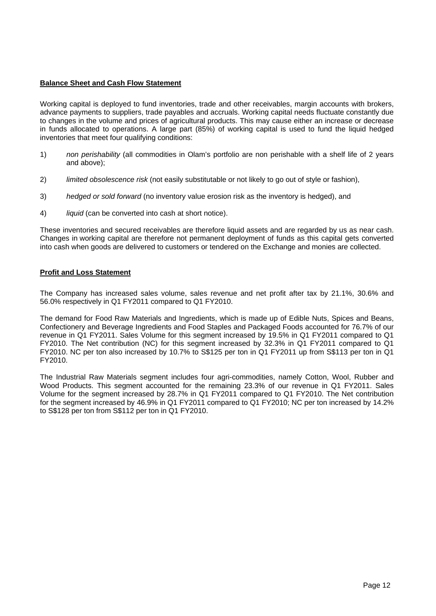## **Balance Sheet and Cash Flow Statement**

Working capital is deployed to fund inventories, trade and other receivables, margin accounts with brokers, advance payments to suppliers, trade payables and accruals. Working capital needs fluctuate constantly due to changes in the volume and prices of agricultural products. This may cause either an increase or decrease in funds allocated to operations. A large part (85%) of working capital is used to fund the liquid hedged inventories that meet four qualifying conditions:

- 1) *non perishability* (all commodities in Olam's portfolio are non perishable with a shelf life of 2 years and above);
- 2) *limited obsolescence risk* (not easily substitutable or not likely to go out of style or fashion),
- 3) *hedged or sold forward* (no inventory value erosion risk as the inventory is hedged), and
- 4) *liquid* (can be converted into cash at short notice).

These inventories and secured receivables are therefore liquid assets and are regarded by us as near cash. Changes in working capital are therefore not permanent deployment of funds as this capital gets converted into cash when goods are delivered to customers or tendered on the Exchange and monies are collected.

## **Profit and Loss Statement**

The Company has increased sales volume, sales revenue and net profit after tax by 21.1%, 30.6% and 56.0% respectively in Q1 FY2011 compared to Q1 FY2010.

The demand for Food Raw Materials and Ingredients, which is made up of Edible Nuts, Spices and Beans, Confectionery and Beverage Ingredients and Food Staples and Packaged Foods accounted for 76.7% of our revenue in Q1 FY2011. Sales Volume for this segment increased by 19.5% in Q1 FY2011 compared to Q1 FY2010. The Net contribution (NC) for this segment increased by 32.3% in Q1 FY2011 compared to Q1 FY2010. NC per ton also increased by 10.7% to S\$125 per ton in Q1 FY2011 up from S\$113 per ton in Q1 FY2010.

The Industrial Raw Materials segment includes four agri-commodities, namely Cotton, Wool, Rubber and Wood Products. This segment accounted for the remaining 23.3% of our revenue in Q1 FY2011. Sales Volume for the segment increased by 28.7% in Q1 FY2011 compared to Q1 FY2010. The Net contribution for the segment increased by 46.9% in Q1 FY2011 compared to Q1 FY2010; NC per ton increased by 14.2% to S\$128 per ton from S\$112 per ton in Q1 FY2010.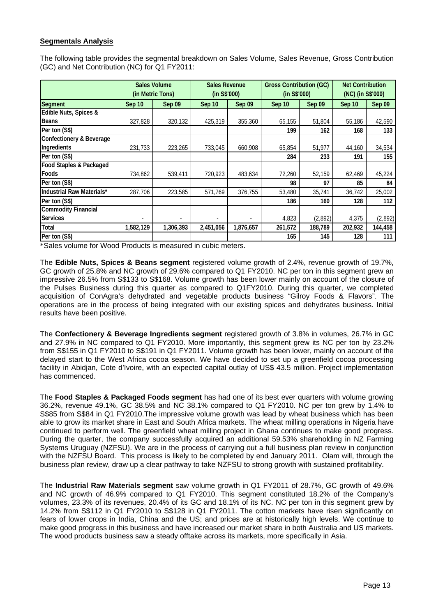# **Segmentals Analysis**

The following table provides the segmental breakdown on Sales Volume, Sales Revenue, Gross Contribution (GC) and Net Contribution (NC) for Q1 FY2011:

|                                     | <b>Sales Volume</b><br>(in Metric Tons) |           | <b>Sales Revenue</b><br>(in S\$'000) |           | <b>Gross Contribution (GC)</b><br>(in S\$'000) |         | <b>Net Contribution</b><br>(NC) (in S\$'000) |               |
|-------------------------------------|-----------------------------------------|-----------|--------------------------------------|-----------|------------------------------------------------|---------|----------------------------------------------|---------------|
| <b>Segment</b>                      | Sep 10                                  | Sep 09    | Sep 10                               | Sep 09    | <b>Sep 10</b>                                  | Sep 09  | Sep 10                                       | <b>Sep 09</b> |
| Edible Nuts, Spices &               |                                         |           |                                      |           |                                                |         |                                              |               |
| <b>Beans</b>                        | 327,828                                 | 320,132   | 425,319                              | 355,360   | 65,155                                         | 51,804  | 55,186                                       | 42,590        |
| Per ton (S\$)                       |                                         |           |                                      |           | 199                                            | 162     | 168                                          | 133           |
| <b>Confectionery &amp; Beverage</b> |                                         |           |                                      |           |                                                |         |                                              |               |
| Ingredients                         | 231,733                                 | 223,265   | 733,045                              | 660,908   | 65,854                                         | 51,977  | 44,160                                       | 34,534        |
| Per ton (S\$)                       |                                         |           |                                      |           | 284                                            | 233     | 191                                          | 155           |
| <b>Food Staples &amp; Packaged</b>  |                                         |           |                                      |           |                                                |         |                                              |               |
| Foods                               | 734,862                                 | 539,411   | 720,923                              | 483,634   | 72,260                                         | 52,159  | 62,469                                       | 45,224        |
| Per ton (S\$)                       |                                         |           |                                      |           | 98                                             | 97      | 85                                           | 84            |
| <b>Industrial Raw Materials*</b>    | 287,706                                 | 223,585   | 571.769                              | 376,755   | 53,480                                         | 35,741  | 36,742                                       | 25,002        |
| Per ton (S\$)                       |                                         |           |                                      |           | 186                                            | 160     | 128                                          | 112           |
| <b>Commodity Financial</b>          |                                         |           |                                      |           |                                                |         |                                              |               |
| <b>Services</b>                     |                                         |           |                                      |           | 4,823                                          | (2,892) | 4,375                                        | (2,892)       |
| <b>Total</b>                        | 1,582,129                               | 1,306,393 | 2,451,056                            | 1,876,657 | 261,572                                        | 188,789 | 202,932                                      | 144,458       |
| Per ton (S\$)                       |                                         |           |                                      |           | 165                                            | 145     | 128                                          | 111           |

\*Sales volume for Wood Products is measured in cubic meters.

The **Edible Nuts, Spices & Beans segment** registered volume growth of 2.4%, revenue growth of 19.7%, GC growth of 25.8% and NC growth of 29.6% compared to Q1 FY2010. NC per ton in this segment grew an impressive 26.5% from S\$133 to S\$168. Volume growth has been lower mainly on account of the closure of the Pulses Business during this quarter as compared to Q1FY2010. During this quarter, we completed acquisition of ConAgra's dehydrated and vegetable products business "Gilroy Foods & Flavors". The operations are in the process of being integrated with our existing spices and dehydrates business. Initial results have been positive.

The **Confectionery & Beverage Ingredients segment** registered growth of 3.8% in volumes, 26.7% in GC and 27.9% in NC compared to Q1 FY2010. More importantly, this segment grew its NC per ton by 23.2% from S\$155 in Q1 FY2010 to S\$191 in Q1 FY2011. Volume growth has been lower, mainly on account of the delayed start to the West Africa cocoa season. We have decided to set up a greenfield cocoa processing facility in Abidjan, Cote d'Ivoire, with an expected capital outlay of US\$ 43.5 million. Project implementation has commenced.

The **Food Staples & Packaged Foods segment** has had one of its best ever quarters with volume growing 36.2%, revenue 49.1%, GC 38.5% and NC 38.1% compared to Q1 FY2010. NC per ton grew by 1.4% to S\$85 from S\$84 in Q1 FY2010.The impressive volume growth was lead by wheat business which has been able to grow its market share in East and South Africa markets. The wheat milling operations in Nigeria have continued to perform well. The greenfield wheat milling project in Ghana continues to make good progress. During the quarter, the company successfully acquired an additional 59.53% shareholding in NZ Farming Systems Uruguay (NZFSU). We are in the process of carrying out a full business plan review in conjunction with the NZFSU Board. This process is likely to be completed by end January 2011. Olam will, through the business plan review, draw up a clear pathway to take NZFSU to strong growth with sustained profitability.

The **Industrial Raw Materials segment** saw volume growth in Q1 FY2011 of 28.7%, GC growth of 49.6% and NC growth of 46.9% compared to Q1 FY2010. This segment constituted 18.2% of the Company's volumes, 23.3% of its revenues, 20.4% of its GC and 18.1% of its NC. NC per ton in this segment grew by 14.2% from S\$112 in Q1 FY2010 to S\$128 in Q1 FY2011. The cotton markets have risen significantly on fears of lower crops in India, China and the US; and prices are at historically high levels. We continue to make good progress in this business and have increased our market share in both Australia and US markets. The wood products business saw a steady offtake across its markets, more specifically in Asia.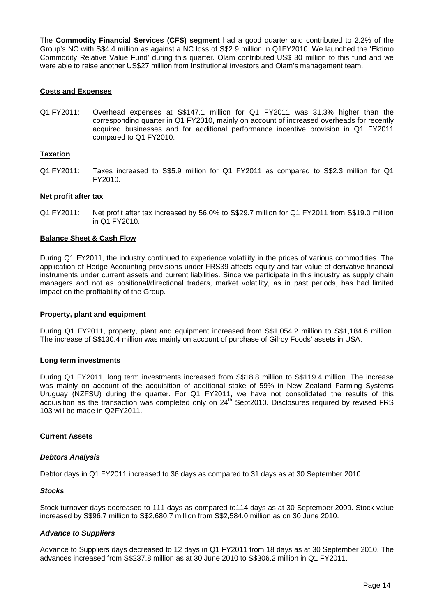The **Commodity Financial Services (CFS) segment** had a good quarter and contributed to 2.2% of the Group's NC with S\$4.4 million as against a NC loss of S\$2.9 million in Q1FY2010. We launched the 'Ektimo Commodity Relative Value Fund' during this quarter. Olam contributed US\$ 30 million to this fund and we were able to raise another US\$27 million from Institutional investors and Olam's management team.

## **Costs and Expenses**

Q1 FY2011: Overhead expenses at S\$147.1 million for Q1 FY2011 was 31.3% higher than the corresponding quarter in Q1 FY2010, mainly on account of increased overheads for recently acquired businesses and for additional performance incentive provision in Q1 FY2011 compared to Q1 FY2010.

### **Taxation**

Q1 FY2011: Taxes increased to S\$5.9 million for Q1 FY2011 as compared to S\$2.3 million for Q1 FY2010.

#### **Net profit after tax**

Q1 FY2011: Net profit after tax increased by 56.0% to S\$29.7 million for Q1 FY2011 from S\$19.0 million in Q1 FY2010.

#### **Balance Sheet & Cash Flow**

During Q1 FY2011, the industry continued to experience volatility in the prices of various commodities. The application of Hedge Accounting provisions under FRS39 affects equity and fair value of derivative financial instruments under current assets and current liabilities. Since we participate in this industry as supply chain managers and not as positional/directional traders, market volatility, as in past periods, has had limited impact on the profitability of the Group.

#### **Property, plant and equipment**

During Q1 FY2011, property, plant and equipment increased from S\$1,054.2 million to S\$1,184.6 million. The increase of S\$130.4 million was mainly on account of purchase of Gilroy Foods' assets in USA.

#### **Long term investments**

During Q1 FY2011, long term investments increased from S\$18.8 million to S\$119.4 million. The increase was mainly on account of the acquisition of additional stake of 59% in New Zealand Farming Systems Uruguay (NZFSU) during the quarter. For Q1 FY2011, we have not consolidated the results of this acquisition as the transaction was completed only on 24<sup>th</sup> Sept2010. Disclosures required by revised FRS 103 will be made in Q2FY2011.

## **Current Assets**

#### *Debtors Analysis*

Debtor days in Q1 FY2011 increased to 36 days as compared to 31 days as at 30 September 2010.

#### *Stocks*

Stock turnover days decreased to 111 days as compared to114 days as at 30 September 2009. Stock value increased by S\$96.7 million to S\$2,680.7 million from S\$2,584.0 million as on 30 June 2010.

#### *Advance to Suppliers*

Advance to Suppliers days decreased to 12 days in Q1 FY2011 from 18 days as at 30 September 2010. The advances increased from S\$237.8 million as at 30 June 2010 to S\$306.2 million in Q1 FY2011.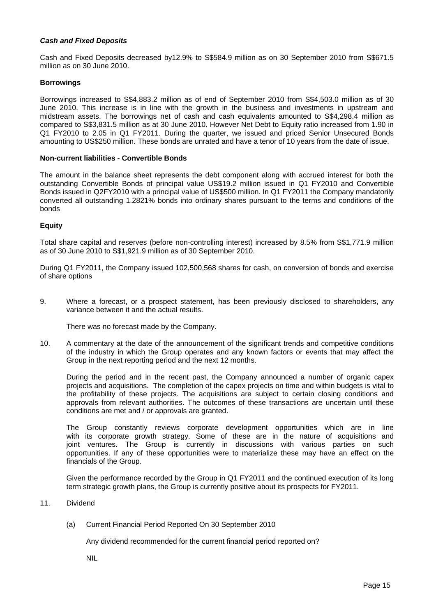## *Cash and Fixed Deposits*

Cash and Fixed Deposits decreased by12.9% to S\$584.9 million as on 30 September 2010 from S\$671.5 million as on 30 June 2010.

## **Borrowings**

Borrowings increased to S\$4,883.2 million as of end of September 2010 from S\$4,503.0 million as of 30 June 2010. This increase is in line with the growth in the business and investments in upstream and midstream assets. The borrowings net of cash and cash equivalents amounted to S\$4,298.4 million as compared to S\$3,831.5 million as at 30 June 2010. However Net Debt to Equity ratio increased from 1.90 in Q1 FY2010 to 2.05 in Q1 FY2011. During the quarter, we issued and priced Senior Unsecured Bonds amounting to US\$250 million. These bonds are unrated and have a tenor of 10 years from the date of issue.

#### **Non-current liabilities - Convertible Bonds**

The amount in the balance sheet represents the debt component along with accrued interest for both the outstanding Convertible Bonds of principal value US\$19.2 million issued in Q1 FY2010 and Convertible Bonds issued in Q2FY2010 with a principal value of US\$500 million. In Q1 FY2011 the Company mandatorily converted all outstanding 1.2821% bonds into ordinary shares pursuant to the terms and conditions of the bonds

## **Equity**

Total share capital and reserves (before non-controlling interest) increased by 8.5% from S\$1,771.9 million as of 30 June 2010 to S\$1,921.9 million as of 30 September 2010.

During Q1 FY2011, the Company issued 102,500,568 shares for cash, on conversion of bonds and exercise of share options

9. Where a forecast, or a prospect statement, has been previously disclosed to shareholders, any variance between it and the actual results.

There was no forecast made by the Company.

10. A commentary at the date of the announcement of the significant trends and competitive conditions of the industry in which the Group operates and any known factors or events that may affect the Group in the next reporting period and the next 12 months.

During the period and in the recent past, the Company announced a number of organic capex projects and acquisitions. The completion of the capex projects on time and within budgets is vital to the profitability of these projects. The acquisitions are subject to certain closing conditions and approvals from relevant authorities. The outcomes of these transactions are uncertain until these conditions are met and / or approvals are granted.

The Group constantly reviews corporate development opportunities which are in line with its corporate growth strategy. Some of these are in the nature of acquisitions and joint ventures. The Group is currently in discussions with various parties on such opportunities. If any of these opportunities were to materialize these may have an effect on the financials of the Group.

Given the performance recorded by the Group in Q1 FY2011 and the continued execution of its long term strategic growth plans, the Group is currently positive about its prospects for FY2011.

- 11. Dividend
	- (a) Current Financial Period Reported On 30 September 2010

Any dividend recommended for the current financial period reported on?

NIL